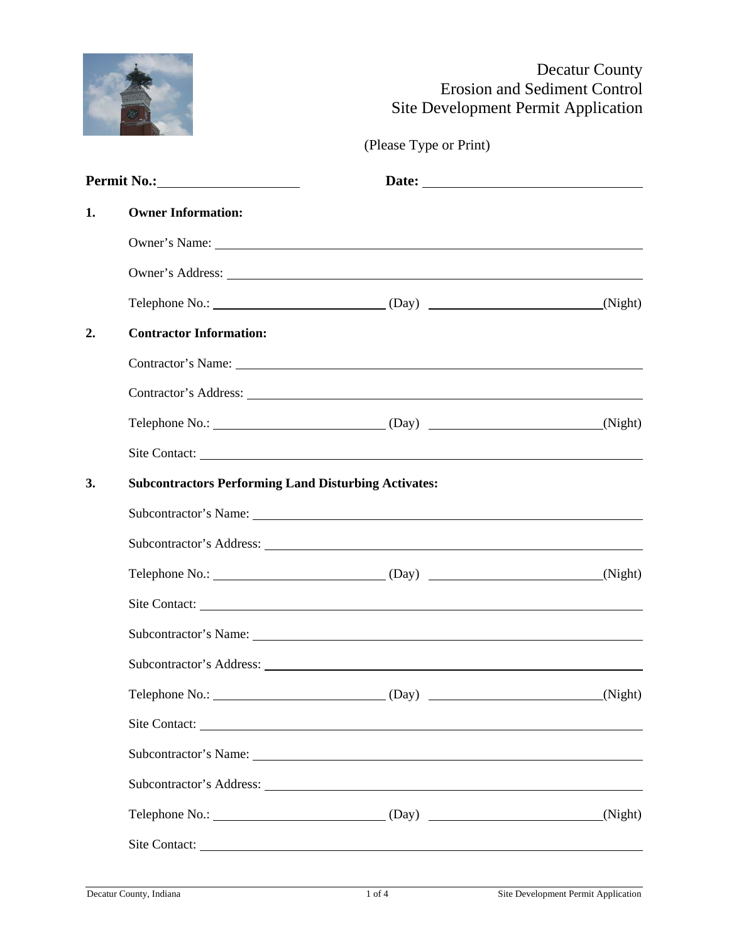# F

## Decatur County Erosion and Sediment Control Site Development Permit Application

(Please Type or Print)

| 1. | <b>Owner Information:</b>                                   |                                                       |                   |  |  |
|----|-------------------------------------------------------------|-------------------------------------------------------|-------------------|--|--|
|    |                                                             |                                                       |                   |  |  |
|    |                                                             |                                                       |                   |  |  |
|    |                                                             |                                                       |                   |  |  |
| 2. | <b>Contractor Information:</b>                              |                                                       |                   |  |  |
|    |                                                             | Contractor's Name: New York Contractor's Name:        |                   |  |  |
|    |                                                             |                                                       |                   |  |  |
|    |                                                             | Telephone No.: (Night) (Day) (Day) (Night)            |                   |  |  |
|    |                                                             |                                                       |                   |  |  |
| 3. | <b>Subcontractors Performing Land Disturbing Activates:</b> |                                                       |                   |  |  |
|    |                                                             | Subcontractor's Name:                                 |                   |  |  |
|    |                                                             |                                                       |                   |  |  |
|    |                                                             | Telephone No.: (Night) (Day) (Day) (Night)            |                   |  |  |
|    |                                                             |                                                       |                   |  |  |
|    |                                                             | Subcontractor's Name: 1986. The Subcontractor's Name: |                   |  |  |
|    |                                                             |                                                       |                   |  |  |
|    | Telephone No.:                                              | (Day)                                                 | $\frac{Night}{N}$ |  |  |
|    |                                                             | Site Contact:                                         |                   |  |  |
|    |                                                             | Subcontractor's Name:                                 |                   |  |  |
|    |                                                             |                                                       |                   |  |  |
|    |                                                             |                                                       |                   |  |  |
|    |                                                             | Site Contact:                                         |                   |  |  |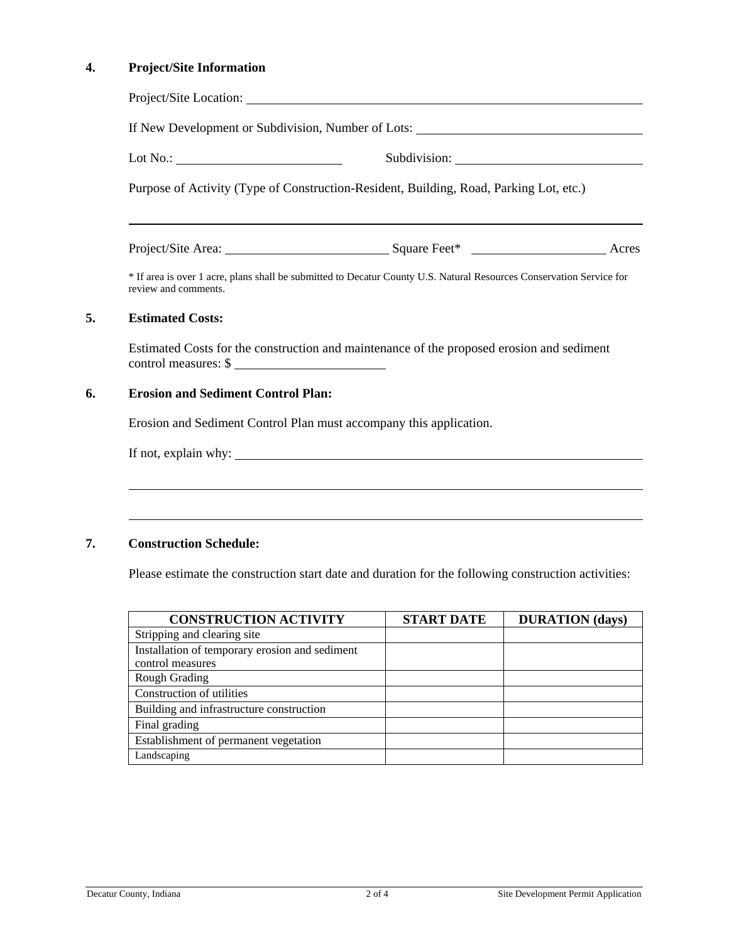### **4. Project/Site Information**

| Lot No.: $\qquad \qquad$                                                               |                                                                                                                      |  |  |  |
|----------------------------------------------------------------------------------------|----------------------------------------------------------------------------------------------------------------------|--|--|--|
| Purpose of Activity (Type of Construction-Resident, Building, Road, Parking Lot, etc.) |                                                                                                                      |  |  |  |
|                                                                                        | ,我们也不会有什么。""我们的人,我们也不会有什么?""我们的人,我们也不会有什么?""我们的人,我们也不会有什么?""我们的人,我们也不会有什么?""我们的人                                     |  |  |  |
| review and comments.                                                                   | * If area is over 1 acre, plans shall be submitted to Decatur County U.S. Natural Resources Conservation Service for |  |  |  |
| <b>Estimated Costs:</b>                                                                |                                                                                                                      |  |  |  |
| control measures: \$                                                                   | Estimated Costs for the construction and maintenance of the proposed erosion and sediment                            |  |  |  |
|                                                                                        | <b>Erosion and Sediment Control Plan:</b>                                                                            |  |  |  |
|                                                                                        |                                                                                                                      |  |  |  |
|                                                                                        | Erosion and Sediment Control Plan must accompany this application.                                                   |  |  |  |

Please estimate the construction start date and duration for the following construction activities:

| <b>CONSTRUCTION ACTIVITY</b>                   | <b>START DATE</b> | <b>DURATION</b> (days) |
|------------------------------------------------|-------------------|------------------------|
| Stripping and clearing site                    |                   |                        |
| Installation of temporary erosion and sediment |                   |                        |
| control measures                               |                   |                        |
| <b>Rough Grading</b>                           |                   |                        |
| Construction of utilities                      |                   |                        |
| Building and infrastructure construction       |                   |                        |
| Final grading                                  |                   |                        |
| Establishment of permanent vegetation          |                   |                        |
| Landscaping                                    |                   |                        |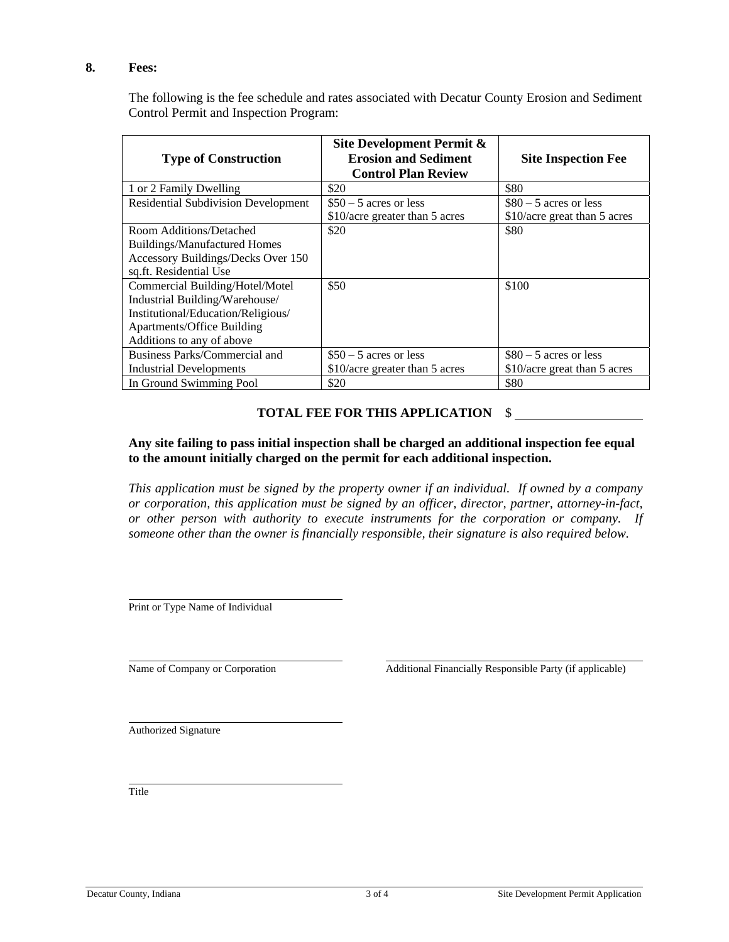#### **8. Fees:**

The following is the fee schedule and rates associated with Decatur County Erosion and Sediment Control Permit and Inspection Program:

| <b>Type of Construction</b>                | Site Development Permit &<br><b>Erosion and Sediment</b><br><b>Control Plan Review</b> | <b>Site Inspection Fee</b>   |  |
|--------------------------------------------|----------------------------------------------------------------------------------------|------------------------------|--|
| 1 or 2 Family Dwelling                     | \$20                                                                                   | \$80                         |  |
| <b>Residential Subdivision Development</b> | $$50 - 5$ acres or less                                                                | $$80 - 5$ acres or less      |  |
|                                            | \$10/acre greater than 5 acres                                                         | \$10/acre great than 5 acres |  |
| Room Additions/Detached                    | \$20                                                                                   | \$80                         |  |
| <b>Buildings/Manufactured Homes</b>        |                                                                                        |                              |  |
| Accessory Buildings/Decks Over 150         |                                                                                        |                              |  |
| sq.ft. Residential Use                     |                                                                                        |                              |  |
| Commercial Building/Hotel/Motel            | \$50                                                                                   | \$100                        |  |
| Industrial Building/Warehouse/             |                                                                                        |                              |  |
| Institutional/Education/Religious/         |                                                                                        |                              |  |
| <b>Apartments/Office Building</b>          |                                                                                        |                              |  |
| Additions to any of above                  |                                                                                        |                              |  |
| Business Parks/Commercial and              | $$50 - 5$ acres or less                                                                | $$80 - 5$ acres or less      |  |
| Industrial Developments                    | \$10/acre greater than 5 acres                                                         | \$10/acre great than 5 acres |  |
| In Ground Swimming Pool                    | \$20                                                                                   | \$80                         |  |

#### **TOTAL FEE FOR THIS APPLICATION** \$

#### **Any site failing to pass initial inspection shall be charged an additional inspection fee equal to the amount initially charged on the permit for each additional inspection.**

*This application must be signed by the property owner if an individual. If owned by a company or corporation, this application must be signed by an officer, director, partner, attorney-in-fact, or other person with authority to execute instruments for the corporation or company. If someone other than the owner is financially responsible, their signature is also required below.* 

Print or Type Name of Individual

Name of Company or Corporation Additional Financially Responsible Party (if applicable)

Authorized Signature

Title